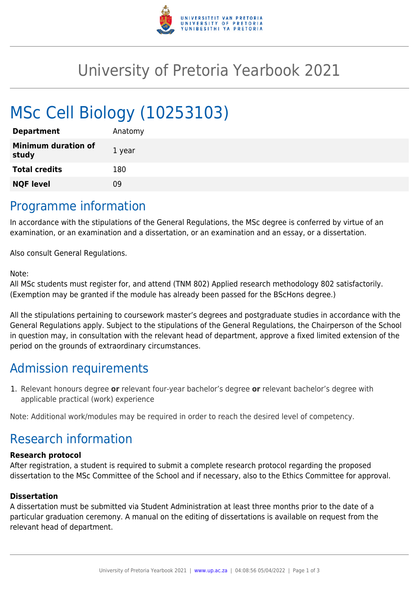

## University of Pretoria Yearbook 2021

# MSc Cell Biology (10253103)

| <b>Department</b>                   | Anatomy |
|-------------------------------------|---------|
| <b>Minimum duration of</b><br>study | 1 year  |
| <b>Total credits</b>                | 180     |
| <b>NQF level</b>                    | 09      |
|                                     |         |

### Programme information

In accordance with the stipulations of the General Regulations, the MSc degree is conferred by virtue of an examination, or an examination and a dissertation, or an examination and an essay, or a dissertation.

Also consult General Regulations.

#### Note:

All MSc students must register for, and attend (TNM 802) Applied research methodology 802 satisfactorily. (Exemption may be granted if the module has already been passed for the BScHons degree.)

All the stipulations pertaining to coursework master's degrees and postgraduate studies in accordance with the General Regulations apply. Subject to the stipulations of the General Regulations, the Chairperson of the School in question may, in consultation with the relevant head of department, approve a fixed limited extension of the period on the grounds of extraordinary circumstances.

## Admission requirements

1. Relevant honours degree **or** relevant four-year bachelor's degree **or** relevant bachelor's degree with applicable practical (work) experience

Note: Additional work/modules may be required in order to reach the desired level of competency.

## Research information

#### **Research protocol**

After registration, a student is required to submit a complete research protocol regarding the proposed dissertation to the MSc Committee of the School and if necessary, also to the Ethics Committee for approval.

#### **Dissertation**

A dissertation must be submitted via Student Administration at least three months prior to the date of a particular graduation ceremony. A manual on the editing of dissertations is available on request from the relevant head of department.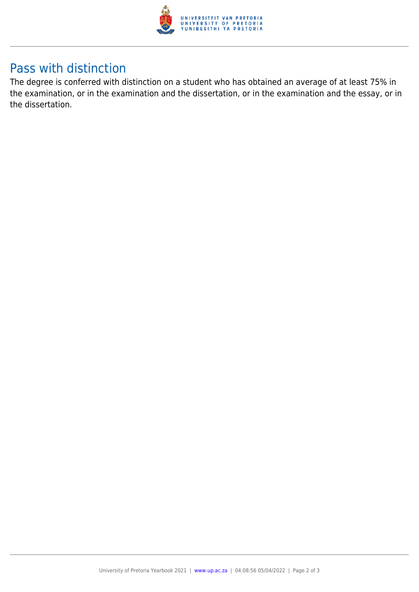

## Pass with distinction

The degree is conferred with distinction on a student who has obtained an average of at least 75% in the examination, or in the examination and the dissertation, or in the examination and the essay, or in the dissertation.